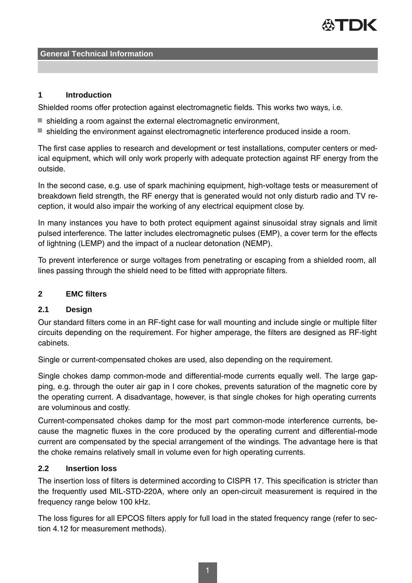## **1 Introduction**

Shielded rooms offer protection against electromagnetic fields. This works two ways, i.e.

- $\blacksquare$  shielding a room against the external electromagnetic environment,
- shielding the environment against electromagnetic interference produced inside a room.

The first case applies to research and development or test installations, computer centers or medical equipment, which will only work properly with adequate protection against RF energy from the outside.

In the second case, e.g. use of spark machining equipment, high-voltage tests or measurement of breakdown field strength, the RF energy that is generated would not only disturb radio and TV reception, it would also impair the working of any electrical equipment close by.

In many instances you have to both protect equipment against sinusoidal stray signals and limit pulsed interference. The latter includes electromagnetic pulses (EMP), a cover term for the effects of lightning (LEMP) and the impact of a nuclear detonation (NEMP).

To prevent interference or surge voltages from penetrating or escaping from a shielded room, all lines passing through the shield need to be fitted with appropriate filters.

## **2 EMC filters**

## **2.1 Design**

Our standard filters come in an RF-tight case for wall mounting and include single or multiple filter circuits depending on the requirement. For higher amperage, the filters are designed as RF-tight cabinets.

Single or current-compensated chokes are used, also depending on the requirement.

Single chokes damp common-mode and differential-mode currents equally well. The large gapping, e.g. through the outer air gap in I core chokes, prevents saturation of the magnetic core by the operating current. A disadvantage, however, is that single chokes for high operating currents are voluminous and costly.

Current-compensated chokes damp for the most part common-mode interference currents, because the magnetic fluxes in the core produced by the operating current and differential-mode current are compensated by the special arrangement of the windings. The advantage here is that the choke remains relatively small in volume even for high operating currents.

## **2.2 Insertion loss**

The insertion loss of filters is determined according to CISPR 17. This specification is stricter than the frequently used MIL-STD-220A, where only an open-circuit measurement is required in the frequency range below 100 kHz.

The loss figures for all EPCOS filters apply for full load in the stated frequency range (refer to section 4.12 for measurement methods).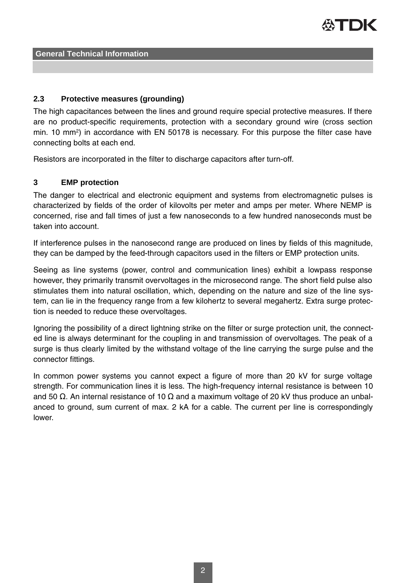

## **2.3 Protective measures (grounding)**

The high capacitances between the lines and ground require special protective measures. If there are no product-specific requirements, protection with a secondary ground wire (cross section min. 10 mm<sup>2</sup> ) in accordance with EN 50178 is necessary. For this purpose the filter case have connecting bolts at each end.

Resistors are incorporated in the filter to discharge capacitors after turn-off.

#### **3 EMP protection**

The danger to electrical and electronic equipment and systems from electromagnetic pulses is characterized by fields of the order of kilovolts per meter and amps per meter. Where NEMP is concerned, rise and fall times of just a few nanoseconds to a few hundred nanoseconds must be taken into account.

If interference pulses in the nanosecond range are produced on lines by fields of this magnitude, they can be damped by the feed-through capacitors used in the filters or EMP protection units.

Seeing as line systems (power, control and communication lines) exhibit a lowpass response however, they primarily transmit overvoltages in the microsecond range. The short field pulse also stimulates them into natural oscillation, which, depending on the nature and size of the line system, can lie in the frequency range from a few kilohertz to several megahertz. Extra surge protection is needed to reduce these overvoltages.

Ignoring the possibility of a direct lightning strike on the filter or surge protection unit, the connected line is always determinant for the coupling in and transmission of overvoltages. The peak of a surge is thus clearly limited by the withstand voltage of the line carrying the surge pulse and the connector fittings.

In common power systems you cannot expect a figure of more than 20 kV for surge voltage strength. For communication lines it is less. The high-frequency internal resistance is between 10 and 50 Ω. An internal resistance of 10 Ω and a maximum voltage of 20 kV thus produce an unbalanced to ground, sum current of max. 2 kA for a cable. The current per line is correspondingly lower.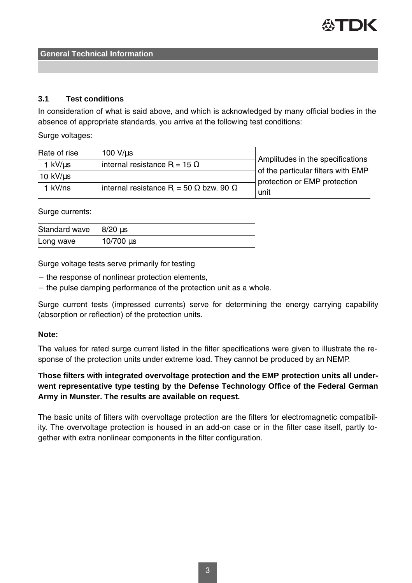

#### **3.1 Test conditions**

In consideration of what is said above, and which is acknowledged by many official bodies in the absence of appropriate standards, you arrive at the following test conditions:

Surge voltages:

| Rate of rise | $100 V$ /us                                                       | Amplitudes in the specifications<br>of the particular filters with EMP<br>protection or EMP protection<br>unit |
|--------------|-------------------------------------------------------------------|----------------------------------------------------------------------------------------------------------------|
| 1 kV/us      | internal resistance R <sub>i</sub> = 15 $\Omega$                  |                                                                                                                |
| 10 $kV/us$   |                                                                   |                                                                                                                |
| 1 kV/ns      | internal resistance R <sub>i</sub> = 50 $\Omega$ bzw. 90 $\Omega$ |                                                                                                                |

Surge currents:

| Standard wave $8/20 \,\mu s$ |                  |
|------------------------------|------------------|
| Long wave                    | $10/700 \,\mu s$ |

Surge voltage tests serve primarily for testing

 $-$  the response of nonlinear protection elements,

 $-$  the pulse damping performance of the protection unit as a whole.

Surge current tests (impressed currents) serve for determining the energy carrying capability (absorption or reflection) of the protection units.

#### **Note:**

The values for rated surge current listed in the filter specifications were given to illustrate the response of the protection units under extreme load. They cannot be produced by an NEMP.

# **Those filters with integrated overvoltage protection and the EMP protection units all underwent representative type testing by the Defense Technology Office of the Federal German Army in Munster. The results are available on request.**

The basic units of filters with overvoltage protection are the filters for electromagnetic compatibility. The overvoltage protection is housed in an add-on case or in the filter case itself, partly together with extra nonlinear components in the filter configuration.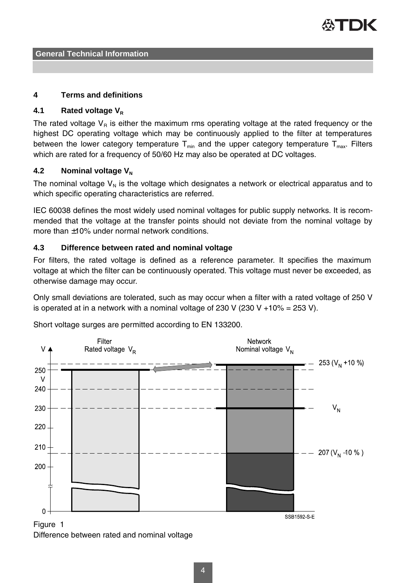

#### **4 Terms and definitions**

## **4.1 Rated voltage V<sup>R</sup>**

The rated voltage  $V_R$  is either the maximum rms operating voltage at the rated frequency or the highest DC operating voltage which may be continuously applied to the filter at temperatures between the lower category temperature  $T_{min}$  and the upper category temperature  $T_{max}$ . Filters which are rated for a frequency of 50/60 Hz may also be operated at DC voltages.

## **4.2** Nominal voltage V<sub>N</sub>

The nominal voltage  $V_N$  is the voltage which designates a network or electrical apparatus and to which specific operating characteristics are referred.

IEC 60038 defines the most widely used nominal voltages for public supply networks. It is recommended that the voltage at the transfer points should not deviate from the nominal voltage by more than ±10% under normal network conditions.

## **4.3 Difference between rated and nominal voltage**

For filters, the rated voltage is defined as a reference parameter. It specifies the maximum voltage at which the filter can be continuously operated. This voltage must never be exceeded, as otherwise damage may occur.

Only small deviations are tolerated, such as may occur when a filter with a rated voltage of 250 V is operated at in a network with a nominal voltage of 230 V (230 V +10% = 253 V).



Short voltage surges are permitted according to EN 133200.

Difference between rated and nominal voltage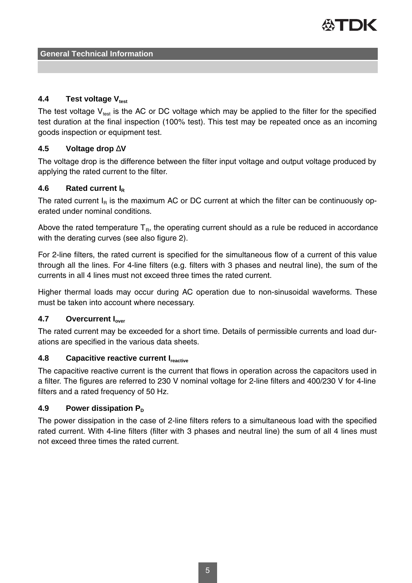

## **4.4 Test voltage Vtest**

The test voltage  $V_{\text{test}}$  is the AC or DC voltage which may be applied to the filter for the specified test duration at the final inspection (100% test). This test may be repeated once as an incoming goods inspection or equipment test.

## **4.5 Voltage drop** ∆**V**

The voltage drop is the difference between the filter input voltage and output voltage produced by applying the rated current to the filter.

## **4.6 Rated current I<sup>R</sup>**

The rated current  $I_R$  is the maximum AC or DC current at which the filter can be continuously operated under nominal conditions.

Above the rated temperature  $T_R$ , the operating current should as a rule be reduced in accordance with the derating curves (see also figure 2).

For 2-line filters, the rated current is specified for the simultaneous flow of a current of this value through all the lines. For 4-line filters (e.g. filters with 3 phases and neutral line), the sum of the currents in all 4 lines must not exceed three times the rated current.

Higher thermal loads may occur during AC operation due to non-sinusoidal waveforms. These must be taken into account where necessary.

#### **4.7 Overcurrent Iover**

The rated current may be exceeded for a short time. Details of permissible currents and load durations are specified in the various data sheets.

## **4.8 Capacitive reactive current Ireactive**

The capacitive reactive current is the current that flows in operation across the capacitors used in a filter. The figures are referred to 230 V nominal voltage for 2-line filters and 400/230 V for 4-line filters and a rated frequency of 50 Hz.

#### **4.9** Power dissipation P<sub>D</sub>

The power dissipation in the case of 2-line filters refers to a simultaneous load with the specified rated current. With 4-line filters (filter with 3 phases and neutral line) the sum of all 4 lines must not exceed three times the rated current.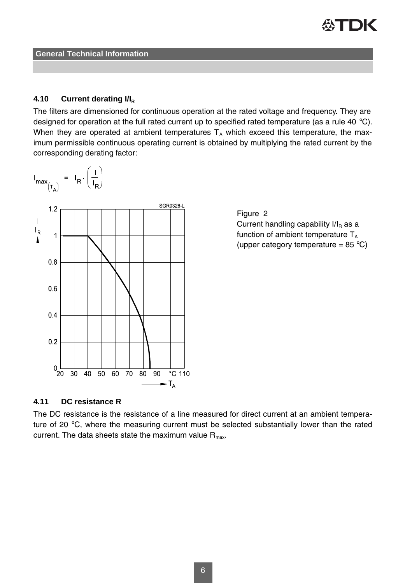

#### **4.10 Current derating I/I<sup>R</sup>**

The filters are dimensioned for continuous operation at the rated voltage and frequency. They are designed for operation at the full rated current up to specified rated temperature (as a rule 40 °C). When they are operated at ambient temperatures  $T_A$  which exceed this temperature, the maximum permissible continuous operating current is obtained by multiplying the rated current by the corresponding derating factor:





# **4.11 DC resistance R**

The DC resistance is the resistance of a line measured for direct current at an ambient temperature of 20 °C, where the measuring current must be selected substantially lower than the rated current. The data sheets state the maximum value  $R_{\text{max}}$ .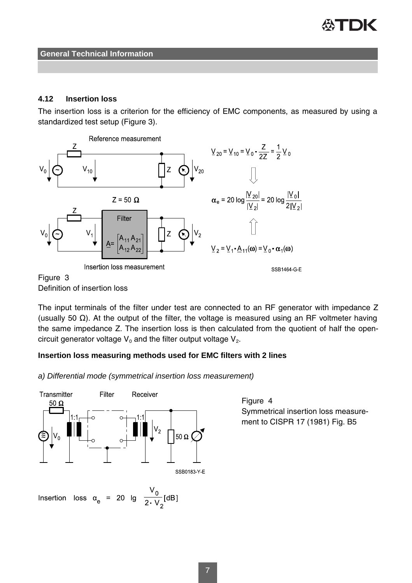

## **4.12 Insertion loss**

The insertion loss is a criterion for the efficiency of EMC components, as measured by using a standardized test setup (Figure 3).



The input terminals of the filter under test are connected to an RF generator with impedance Z (usually 50 Ω). At the output of the filter, the voltage is measured using an RF voltmeter having the same impedance Z. The insertion loss is then calculated from the quotient of half the opencircuit generator voltage  $\mathsf{V}_{\mathsf{o}}$  and the filter output voltage  $\mathsf{V}_{\mathsf{2}}$ .

#### **Insertion loss measuring methods used for EMC filters with 2 lines**

a) Differential mode (symmetrical insertion loss measurement)



Insertion loss  $\alpha_e$  = 20 lg  $\frac{V_0}{2\cdot V_0}$  [dB]

Figure 4 Symmetrical insertion loss measurement to CISPR 17 (1981) Fig. B5